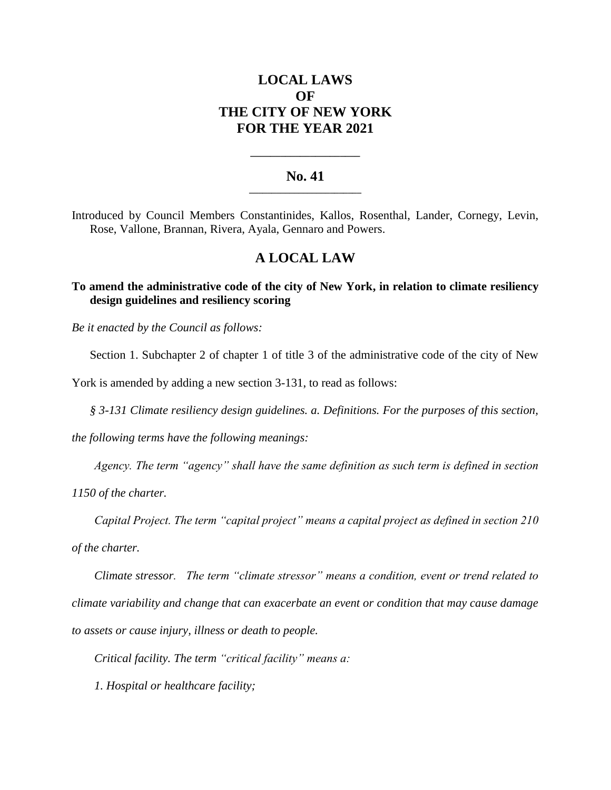# **LOCAL LAWS OF THE CITY OF NEW YORK FOR THE YEAR 2021**

### **No. 41 \_\_\_\_\_\_\_\_\_\_\_\_\_\_\_\_\_\_\_\_\_\_\_\_\_**

**\_\_\_\_\_\_\_\_\_\_\_\_\_\_\_\_\_\_\_\_\_\_**

Introduced by Council Members Constantinides, Kallos, Rosenthal, Lander, Cornegy, Levin, Rose, Vallone, Brannan, Rivera, Ayala, Gennaro and Powers.

## **A LOCAL LAW**

### **To amend the administrative code of the city of New York, in relation to climate resiliency design guidelines and resiliency scoring**

*Be it enacted by the Council as follows:*

Section 1. Subchapter 2 of chapter 1 of title 3 of the administrative code of the city of New

York is amended by adding a new section 3-131, to read as follows:

*§ 3-131 Climate resiliency design guidelines. a. Definitions. For the purposes of this section,* 

*the following terms have the following meanings:*

*Agency. The term "agency" shall have the same definition as such term is defined in section* 

*1150 of the charter.* 

*Capital Project. The term "capital project" means a capital project as defined in section 210* 

*of the charter.*

*Climate stressor. The term "climate stressor" means a condition, event or trend related to climate variability and change that can exacerbate an event or condition that may cause damage to assets or cause injury, illness or death to people.*

*Critical facility. The term "critical facility" means a:*

*1. Hospital or healthcare facility;*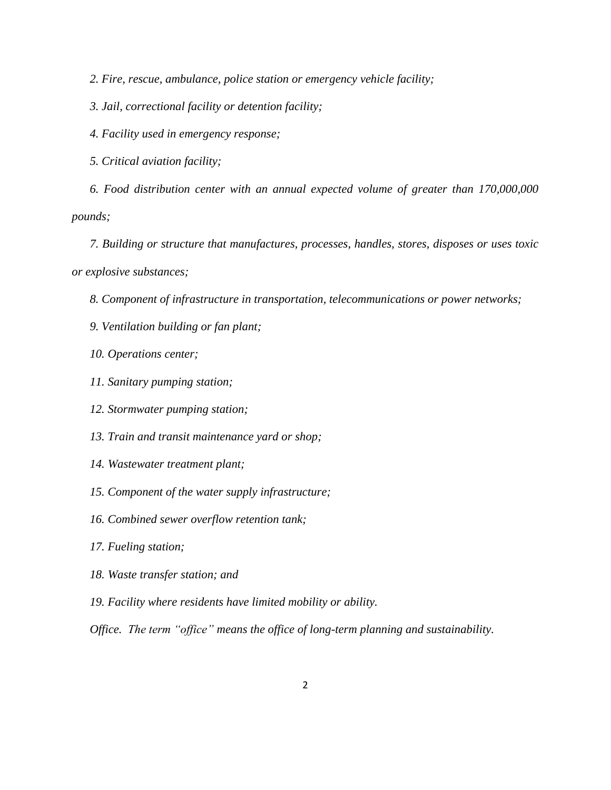*2. Fire, rescue, ambulance, police station or emergency vehicle facility;* 

*3. Jail, correctional facility or detention facility;* 

*4. Facility used in emergency response;* 

*5. Critical aviation facility;* 

*6. Food distribution center with an annual expected volume of greater than 170,000,000 pounds;* 

*7. Building or structure that manufactures, processes, handles, stores, disposes or uses toxic or explosive substances;* 

*8. Component of infrastructure in transportation, telecommunications or power networks;* 

- *9. Ventilation building or fan plant;*
- *10. Operations center;*
- *11. Sanitary pumping station;*
- *12. Stormwater pumping station;*
- *13. Train and transit maintenance yard or shop;*
- *14. Wastewater treatment plant;*
- *15. Component of the water supply infrastructure;*
- *16. Combined sewer overflow retention tank;*
- *17. Fueling station;*
- *18. Waste transfer station; and*
- *19. Facility where residents have limited mobility or ability.*

*Office. The term "office" means the office of long-term planning and sustainability.*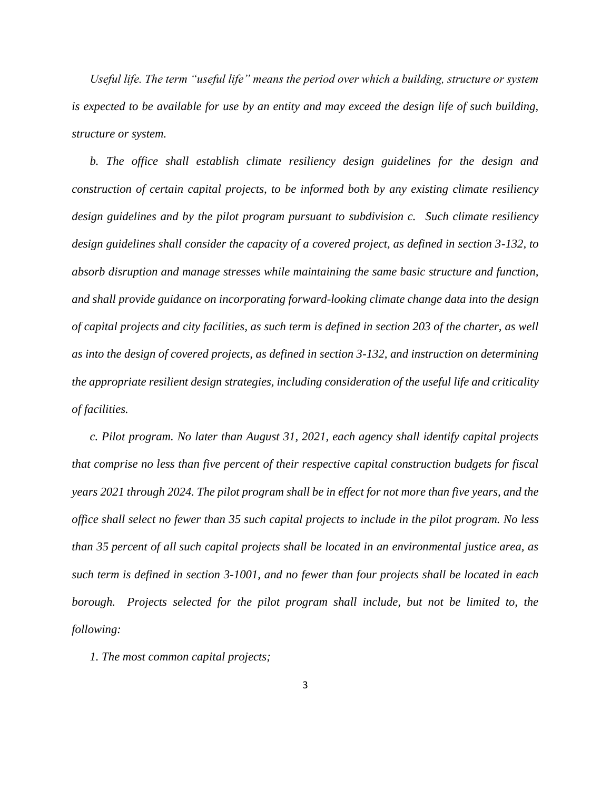*Useful life. The term "useful life" means the period over which a building, structure or system is expected to be available for use by an entity and may exceed the design life of such building, structure or system.*

*b. The office shall establish climate resiliency design guidelines for the design and construction of certain capital projects, to be informed both by any existing climate resiliency design guidelines and by the pilot program pursuant to subdivision c. Such climate resiliency design guidelines shall consider the capacity of a covered project, as defined in section 3-132, to absorb disruption and manage stresses while maintaining the same basic structure and function, and shall provide guidance on incorporating forward-looking climate change data into the design of capital projects and city facilities, as such term is defined in section 203 of the charter, as well as into the design of covered projects, as defined in section 3-132, and instruction on determining the appropriate resilient design strategies, including consideration of the useful life and criticality of facilities.* 

*c. Pilot program. No later than August 31, 2021, each agency shall identify capital projects that comprise no less than five percent of their respective capital construction budgets for fiscal years 2021 through 2024. The pilot program shall be in effect for not more than five years, and the office shall select no fewer than 35 such capital projects to include in the pilot program. No less than 35 percent of all such capital projects shall be located in an environmental justice area, as such term is defined in section 3-1001, and no fewer than four projects shall be located in each borough. Projects selected for the pilot program shall include, but not be limited to, the following:*

*1. The most common capital projects;*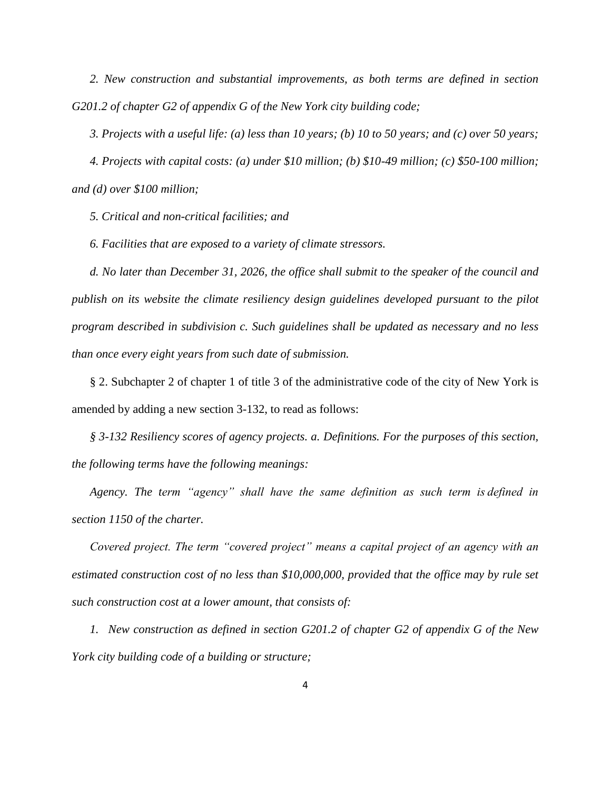*2. New construction and substantial improvements, as both terms are defined in section G201.2 of chapter G2 of appendix G of the New York city building code;*

*3. Projects with a useful life: (a) less than 10 years; (b) 10 to 50 years; and (c) over 50 years;* 

*4. Projects with capital costs: (a) under \$10 million; (b) \$10-49 million; (c) \$50-100 million; and (d) over \$100 million;*

*5. Critical and non-critical facilities; and*

*6. Facilities that are exposed to a variety of climate stressors.*

*d. No later than December 31, 2026, the office shall submit to the speaker of the council and publish on its website the climate resiliency design guidelines developed pursuant to the pilot program described in subdivision c. Such guidelines shall be updated as necessary and no less than once every eight years from such date of submission.*

§ 2. Subchapter 2 of chapter 1 of title 3 of the administrative code of the city of New York is amended by adding a new section 3-132, to read as follows:

*§ 3-132 Resiliency scores of agency projects. a. Definitions. For the purposes of this section, the following terms have the following meanings:*

*Agency. The term "agency" shall have the same definition as such term is defined in section 1150 of the charter.*

*Covered project. The term "covered project" means a capital project of an agency with an estimated construction cost of no less than \$10,000,000, provided that the office may by rule set such construction cost at a lower amount, that consists of:* 

*1. New construction as defined in section G201.2 of chapter G2 of appendix G of the New York city building code of a building or structure;*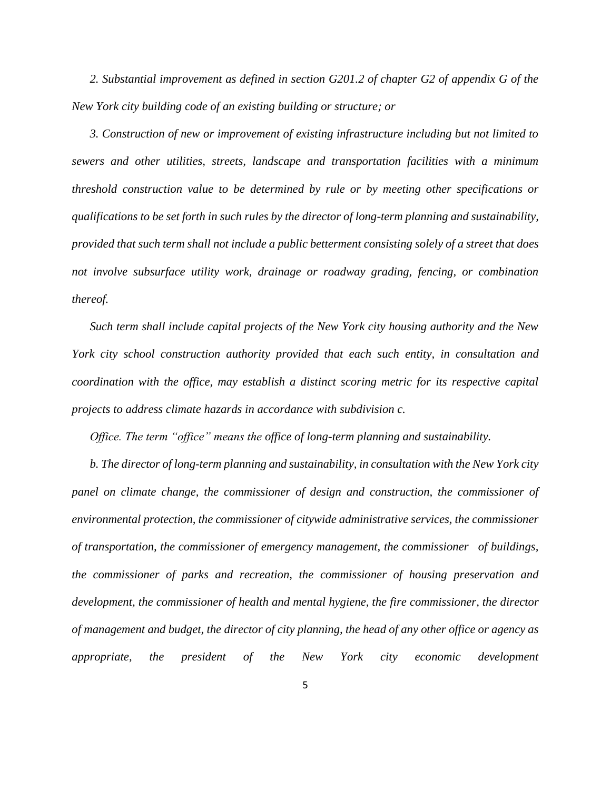*2. Substantial improvement as defined in section G201.2 of chapter G2 of appendix G of the New York city building code of an existing building or structure; or* 

*3. Construction of new or improvement of existing infrastructure including but not limited to sewers and other utilities, streets, landscape and transportation facilities with a minimum threshold construction value to be determined by rule or by meeting other specifications or qualifications to be set forth in such rules by the director of long-term planning and sustainability, provided that such term shall not include a public betterment consisting solely of a street that does not involve subsurface utility work, drainage or roadway grading, fencing, or combination thereof.* 

*Such term shall include capital projects of the New York city housing authority and the New York city school construction authority provided that each such entity, in consultation and coordination with the office, may establish a distinct scoring metric for its respective capital projects to address climate hazards in accordance with subdivision c.*

*Office. The term "office" means the office of long-term planning and sustainability.*

*b. The director of long-term planning and sustainability, in consultation with the New York city panel on climate change, the commissioner of design and construction, the commissioner of environmental protection, the commissioner of citywide administrative services, the commissioner of transportation, the commissioner of emergency management, the commissioner of buildings, the commissioner of parks and recreation, the commissioner of housing preservation and development, the commissioner of health and mental hygiene, the fire commissioner, the director of management and budget, the director of city planning, the head of any other office or agency as appropriate, the president of the New York city economic development*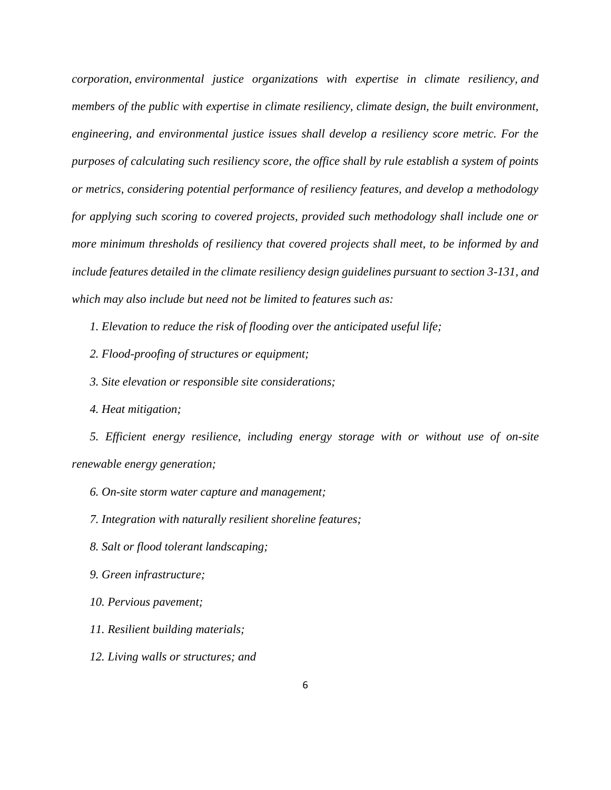*corporation, environmental justice organizations with expertise in climate resiliency, and members of the public with expertise in climate resiliency, climate design, the built environment, engineering, and environmental justice issues shall develop a resiliency score metric. For the purposes of calculating such resiliency score, the office shall by rule establish a system of points or metrics, considering potential performance of resiliency features, and develop a methodology for applying such scoring to covered projects, provided such methodology shall include one or more minimum thresholds of resiliency that covered projects shall meet, to be informed by and include features detailed in the climate resiliency design guidelines pursuant to section 3-131, and which may also include but need not be limited to features such as:*

*1. Elevation to reduce the risk of flooding over the anticipated useful life;*

- *2. Flood-proofing of structures or equipment;*
- *3. Site elevation or responsible site considerations;*
- *4. Heat mitigation;*

*5. Efficient energy resilience, including energy storage with or without use of on-site renewable energy generation;*

- *6. On-site storm water capture and management;*
- *7. Integration with naturally resilient shoreline features;*
- *8. Salt or flood tolerant landscaping;*
- *9. Green infrastructure;*
- *10. Pervious pavement;*
- *11. Resilient building materials;*
- *12. Living walls or structures; and*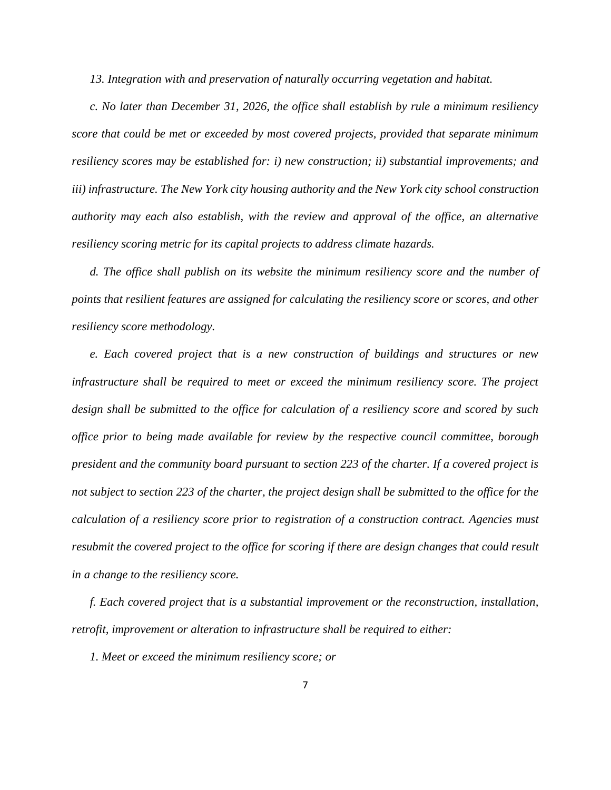*13. Integration with and preservation of naturally occurring vegetation and habitat.*

*c. No later than December 31, 2026, the office shall establish by rule a minimum resiliency score that could be met or exceeded by most covered projects, provided that separate minimum resiliency scores may be established for: i) new construction; ii) substantial improvements; and iii) infrastructure. The New York city housing authority and the New York city school construction authority may each also establish, with the review and approval of the office, an alternative resiliency scoring metric for its capital projects to address climate hazards.* 

*d. The office shall publish on its website the minimum resiliency score and the number of points that resilient features are assigned for calculating the resiliency score or scores, and other resiliency score methodology.*

*e. Each covered project that is a new construction of buildings and structures or new infrastructure shall be required to meet or exceed the minimum resiliency score. The project design shall be submitted to the office for calculation of a resiliency score and scored by such office prior to being made available for review by the respective council committee, borough president and the community board pursuant to section 223 of the charter. If a covered project is not subject to section 223 of the charter, the project design shall be submitted to the office for the calculation of a resiliency score prior to registration of a construction contract. Agencies must resubmit the covered project to the office for scoring if there are design changes that could result in a change to the resiliency score.*

*f. Each covered project that is a substantial improvement or the reconstruction, installation, retrofit, improvement or alteration to infrastructure shall be required to either:*

*1. Meet or exceed the minimum resiliency score; or*